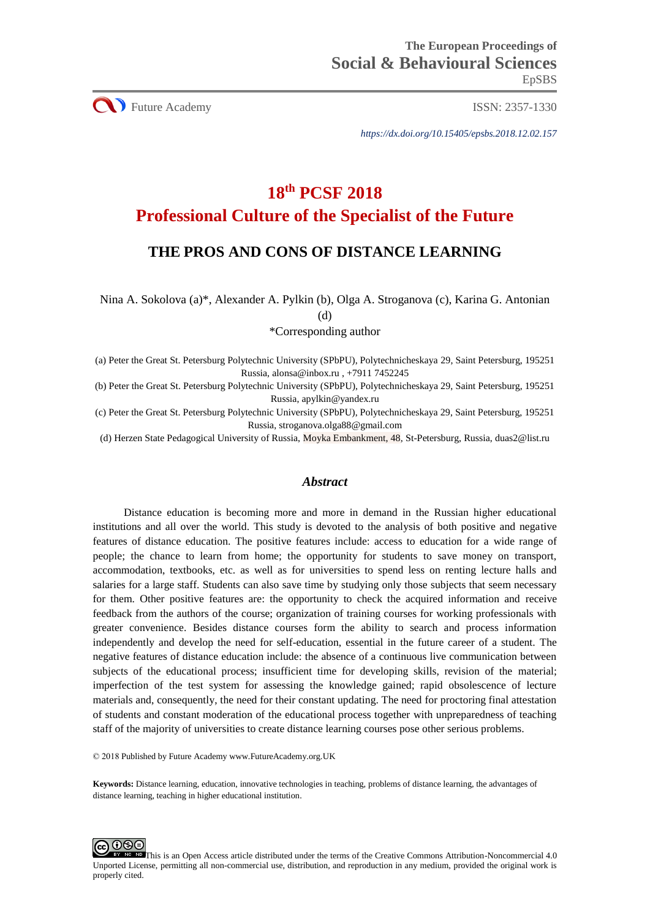**CO** Future Academy ISSN: 2357-1330

*https://dx.doi.org/10.15405/epsbs.2018.12.02.157*

# **18th PCSF 2018 Professional Culture of the Specialist of the Future**

# **THE PROS AND CONS OF DISTANCE LEARNING**

Nina A. Sokolova (a)\*, Alexander A. Pylkin (b), Olga A. Stroganova (c), Karina G. Antonian (d)

\*Corresponding author

(a) Peter the Great St. Petersburg Polytechnic University (SPbPU), Polytechnicheskaya 29, Saint Petersburg, 195251 Russia[, alonsa@inbox.ru](mailto:alonsa@inbox.ru) , +7911 7452245

(b) Peter the Great St. Petersburg Polytechnic University (SPbPU), Polytechnicheskaya 29, Saint Petersburg, 195251 Russia, apylkin@yandex.ru

(c) Peter the Great St. Petersburg Polytechnic University (SPbPU), Polytechnicheskaya 29, Saint Petersburg, 195251 Russia[, stroganova.olga88@gmail.com](mailto:stroganova.olga88@gmail.com)

(d) Herzen State Pedagogical University of Russia, Moyka Embankment, 48, St-Petersburg, Russia, duas2@list.ru

#### *Abstract*

Distance education is becoming more and more in demand in the Russian higher educational institutions and all over the world. This study is devoted to the analysis of both positive and negative features of distance education. The positive features include: access to education for a wide range of people; the chance to learn from home; the opportunity for students to save money on transport, accommodation, textbooks, etc. as well as for universities to spend less on renting lecture halls and salaries for a large staff. Students can also save time by studying only those subjects that seem necessary for them. Other positive features are: the opportunity to check the acquired information and receive feedback from the authors of the course; organization of training courses for working professionals with greater convenience. Besides distance courses form the ability to search and process information independently and develop the need for self-education, essential in the future career of a student. The negative features of distance education include: the absence of a continuous live communication between subjects of the educational process; insufficient time for developing skills, revision of the material; imperfection of the test system for assessing the knowledge gained; rapid obsolescence of lecture materials and, consequently, the need for their constant updating. The need for proctoring final attestation of students and constant moderation of the educational process together with unpreparedness of teaching staff of the majority of universities to create distance learning courses pose other serious problems.

© 2018 Published by Future Academy www.FutureAcademy.org.UK

**Keywords:** Distance learning, education, innovative technologies in teaching, problems of distance learning, the advantages of distance learning, teaching in higher educational institution.



This is an Open Access article distributed under the terms of the Creative Commons Attribution-Noncommercial 4.0 Unported License, permitting all non-commercial use, distribution, and reproduction in any medium, provided the original work is properly cited.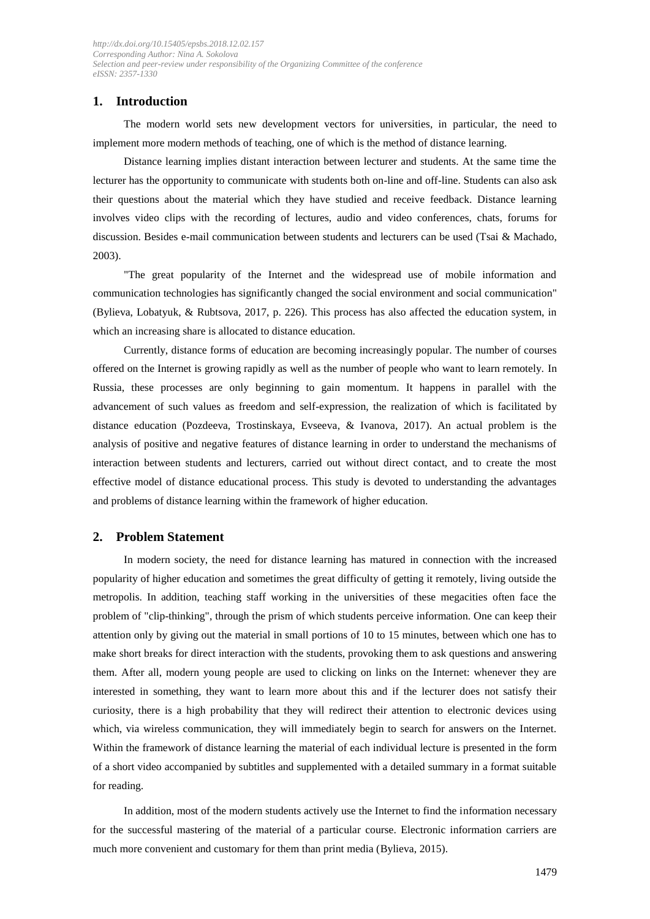# **1. Introduction**

The modern world sets new development vectors for universities, in particular, the need to implement more modern methods of teaching, one of which is the method of distance learning.

Distance learning implies distant interaction between lecturer and students. At the same time the lecturer has the opportunity to communicate with students both on-line and off-line. Students can also ask their questions about the material which they have studied and receive feedback. Distance learning involves video clips with the recording of lectures, audio and video conferences, chats, forums for discussion. Besides e-mail communication between students and lecturers can be used (Tsai & Machado, 2003).

"The great popularity of the Internet and the widespread use of mobile information and communication technologies has significantly changed the social environment and social communication" (Bylieva, Lobatyuk, & Rubtsova, 2017, p. 226). This process has also affected the education system, in which an increasing share is allocated to distance education.

Currently, distance forms of education are becoming increasingly popular. The number of courses offered on the Internet is growing rapidly as well as the number of people who want to learn remotely. In Russia, these processes are only beginning to gain momentum. It happens in parallel with the advancement of such values as freedom and self-expression, the realization of which is facilitated by distance education (Pozdeeva, Trostinskaya, Evseeva, & Ivanova, 2017). An actual problem is the analysis of positive and negative features of distance learning in order to understand the mechanisms of interaction between students and lecturers, carried out without direct contact, and to create the most effective model of distance educational process. This study is devoted to understanding the advantages and problems of distance learning within the framework of higher education.

# **2. Problem Statement**

In modern society, the need for distance learning has matured in connection with the increased popularity of higher education and sometimes the great difficulty of getting it remotely, living outside the metropolis. In addition, teaching staff working in the universities of these megacities often face the problem of "clip-thinking", through the prism of which students perceive information. One can keep their attention only by giving out the material in small portions of 10 to 15 minutes, between which one has to make short breaks for direct interaction with the students, provoking them to ask questions and answering them. After all, modern young people are used to clicking on links on the Internet: whenever they are interested in something, they want to learn more about this and if the lecturer does not satisfy their curiosity, there is a high probability that they will redirect their attention to electronic devices using which, via wireless communication, they will immediately begin to search for answers on the Internet. Within the framework of distance learning the material of each individual lecture is presented in the form of a short video accompanied by subtitles and supplemented with a detailed summary in a format suitable for reading.

In addition, most of the modern students actively use the Internet to find the information necessary for the successful mastering of the material of a particular course. Electronic information carriers are much more convenient and customary for them than print media (Bylieva, 2015).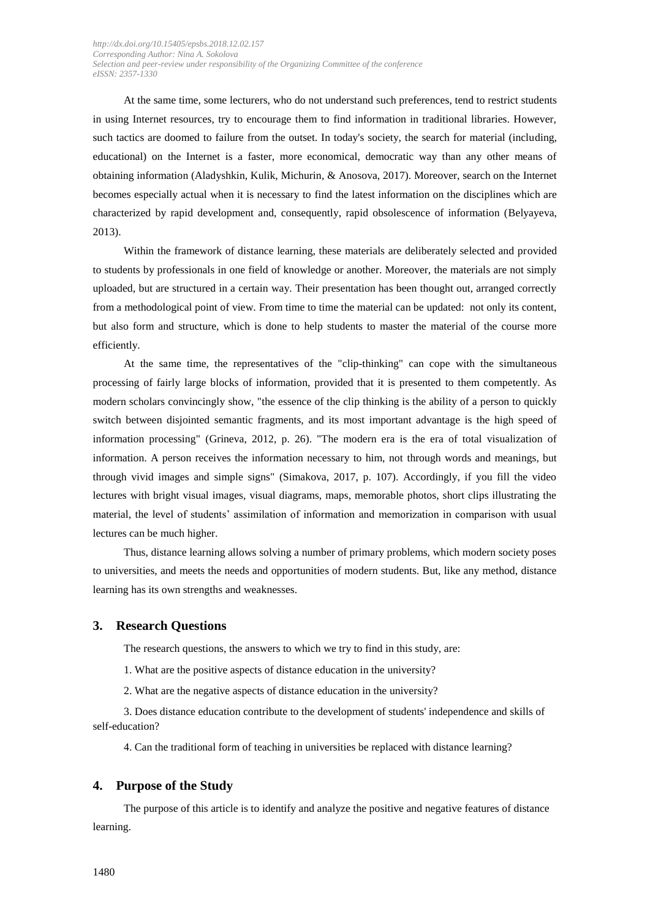At the same time, some lecturers, who do not understand such preferences, tend to restrict students in using Internet resources, try to encourage them to find information in traditional libraries. However, such tactics are doomed to failure from the outset. In today's society, the search for material (including, educational) on the Internet is a faster, more economical, democratic way than any other means of obtaining information (Aladyshkin, Kulik, Michurin, & Anosova, 2017). Moreover, search on the Internet becomes especially actual when it is necessary to find the latest information on the disciplines which are characterized by rapid development and, consequently, rapid obsolescence of information (Belyayeva, 2013).

Within the framework of distance learning, these materials are deliberately selected and provided to students by professionals in one field of knowledge or another. Moreover, the materials are not simply uploaded, but are structured in a certain way. Their presentation has been thought out, arranged correctly from a methodological point of view. From time to time the material can be updated: not only its content, but also form and structure, which is done to help students to master the material of the course more efficiently.

At the same time, the representatives of the "clip-thinking" can cope with the simultaneous processing of fairly large blocks of information, provided that it is presented to them competently. As modern scholars convincingly show, "the essence of the clip thinking is the ability of a person to quickly switch between disjointed semantic fragments, and its most important advantage is the high speed of information processing" (Grineva, 2012, p. 26). "The modern era is the era of total visualization of information. A person receives the information necessary to him, not through words and meanings, but through vivid images and simple signs" (Simakova, 2017, p. 107). Accordingly, if you fill the video lectures with bright visual images, visual diagrams, maps, memorable photos, short clips illustrating the material, the level of students' assimilation of information and memorization in comparison with usual lectures can be much higher.

Thus, distance learning allows solving a number of primary problems, which modern society poses to universities, and meets the needs and opportunities of modern students. But, like any method, distance learning has its own strengths and weaknesses.

## **3. Research Questions**

The research questions, the answers to which we try to find in this study, are:

1. What are the positive aspects of distance education in the university?

2. What are the negative aspects of distance education in the university?

3. Does distance education contribute to the development of students' independence and skills of self-education?

4. Can the traditional form of teaching in universities be replaced with distance learning?

#### **4. Purpose of the Study**

The purpose of this article is to identify and analyze the positive and negative features of distance learning.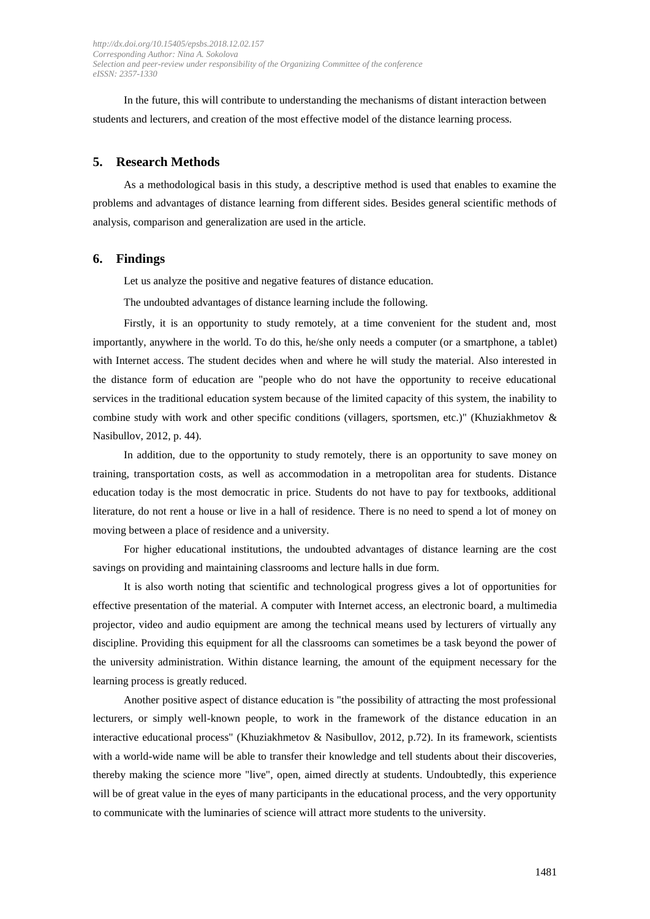In the future, this will contribute to understanding the mechanisms of distant interaction between students and lecturers, and creation of the most effective model of the distance learning process.

#### **5. Research Methods**

As a methodological basis in this study, a descriptive method is used that enables to examine the problems and advantages of distance learning from different sides. Besides general scientific methods of analysis, comparison and generalization are used in the article.

## **6. Findings**

Let us analyze the positive and negative features of distance education.

The undoubted advantages of distance learning include the following.

Firstly, it is an opportunity to study remotely, at a time convenient for the student and, most importantly, anywhere in the world. To do this, he/she only needs a computer (or a smartphone, a tablet) with Internet access. The student decides when and where he will study the material. Also interested in the distance form of education are "people who do not have the opportunity to receive educational services in the traditional education system because of the limited capacity of this system, the inability to combine study with work and other specific conditions (villagers, sportsmen, etc.)" (Khuziakhmetov & Nasibullov, 2012, p. 44).

In addition, due to the opportunity to study remotely, there is an opportunity to save money on training, transportation costs, as well as accommodation in a metropolitan area for students. Distance education today is the most democratic in price. Students do not have to pay for textbooks, additional literature, do not rent a house or live in a hall of residence. There is no need to spend a lot of money on moving between a place of residence and a university.

For higher educational institutions, the undoubted advantages of distance learning are the cost savings on providing and maintaining classrooms and lecture halls in due form.

It is also worth noting that scientific and technological progress gives a lot of opportunities for effective presentation of the material. A computer with Internet access, an electronic board, a multimedia projector, video and audio equipment are among the technical means used by lecturers of virtually any discipline. Providing this equipment for all the classrooms can sometimes be a task beyond the power of the university administration. Within distance learning, the amount of the equipment necessary for the learning process is greatly reduced.

Another positive aspect of distance education is "the possibility of attracting the most professional lecturers, or simply well-known people, to work in the framework of the distance education in an interactive educational process" (Khuziakhmetov & Nasibullov, 2012, p.72). In its framework, scientists with a world-wide name will be able to transfer their knowledge and tell students about their discoveries, thereby making the science more "live", open, aimed directly at students. Undoubtedly, this experience will be of great value in the eyes of many participants in the educational process, and the very opportunity to communicate with the luminaries of science will attract more students to the university.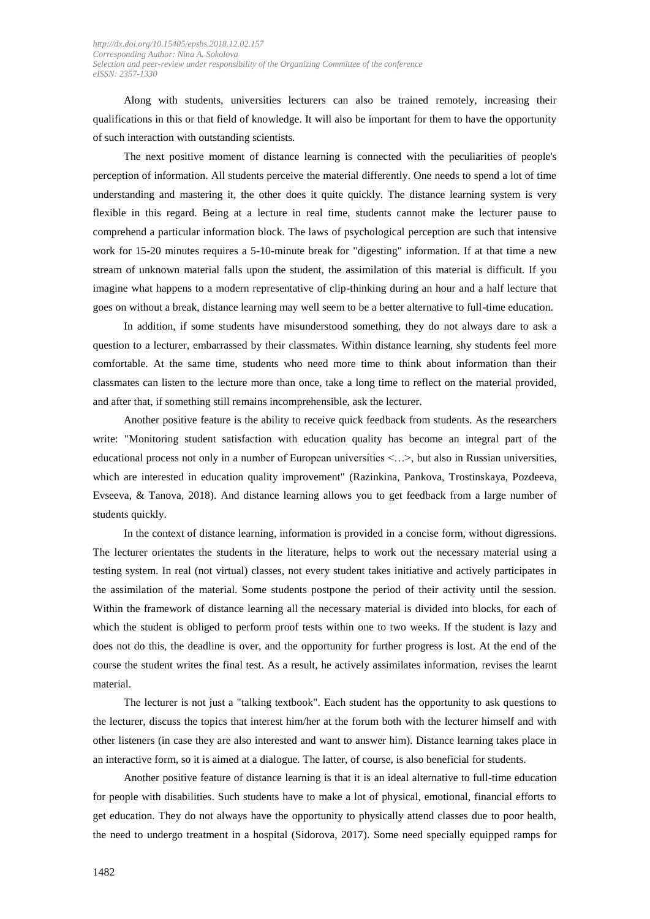Along with students, universities lecturers can also be trained remotely, increasing their qualifications in this or that field of knowledge. It will also be important for them to have the opportunity of such interaction with outstanding scientists.

The next positive moment of distance learning is connected with the peculiarities of people's perception of information. All students perceive the material differently. One needs to spend a lot of time understanding and mastering it, the other does it quite quickly. The distance learning system is very flexible in this regard. Being at a lecture in real time, students cannot make the lecturer pause to comprehend a particular information block. The laws of psychological perception are such that intensive work for 15-20 minutes requires a 5-10-minute break for "digesting" information. If at that time a new stream of unknown material falls upon the student, the assimilation of this material is difficult. If you imagine what happens to a modern representative of clip-thinking during an hour and a half lecture that goes on without a break, distance learning may well seem to be a better alternative to full-time education.

In addition, if some students have misunderstood something, they do not always dare to ask a question to a lecturer, embarrassed by their classmates. Within distance learning, shy students feel more comfortable. At the same time, students who need more time to think about information than their classmates can listen to the lecture more than once, take a long time to reflect on the material provided, and after that, if something still remains incomprehensible, ask the lecturer.

Another positive feature is the ability to receive quick feedback from students. As the researchers write: "Monitoring student satisfaction with education quality has become an integral part of the educational process not only in a number of European universities <…>, but also in Russian universities, which are interested in education quality improvement" (Razinkina, Pankova, Trostinskaya, Pozdeeva, Evseeva, & Tanova, 2018). And distance learning allows you to get feedback from a large number of students quickly.

In the context of distance learning, information is provided in a concise form, without digressions. The lecturer orientates the students in the literature, helps to work out the necessary material using a testing system. In real (not virtual) classes, not every student takes initiative and actively participates in the assimilation of the material. Some students postpone the period of their activity until the session. Within the framework of distance learning all the necessary material is divided into blocks, for each of which the student is obliged to perform proof tests within one to two weeks. If the student is lazy and does not do this, the deadline is over, and the opportunity for further progress is lost. At the end of the course the student writes the final test. As a result, he actively assimilates information, revises the learnt material.

The lecturer is not just a "talking textbook". Each student has the opportunity to ask questions to the lecturer, discuss the topics that interest him/her at the forum both with the lecturer himself and with other listeners (in case they are also interested and want to answer him). Distance learning takes place in an interactive form, so it is aimed at a dialogue. The latter, of course, is also beneficial for students.

Another positive feature of distance learning is that it is an ideal alternative to full-time education for people with disabilities. Such students have to make a lot of physical, emotional, financial efforts to get education. They do not always have the opportunity to physically attend classes due to poor health, the need to undergo treatment in a hospital (Sidorova, 2017). Some need specially equipped ramps for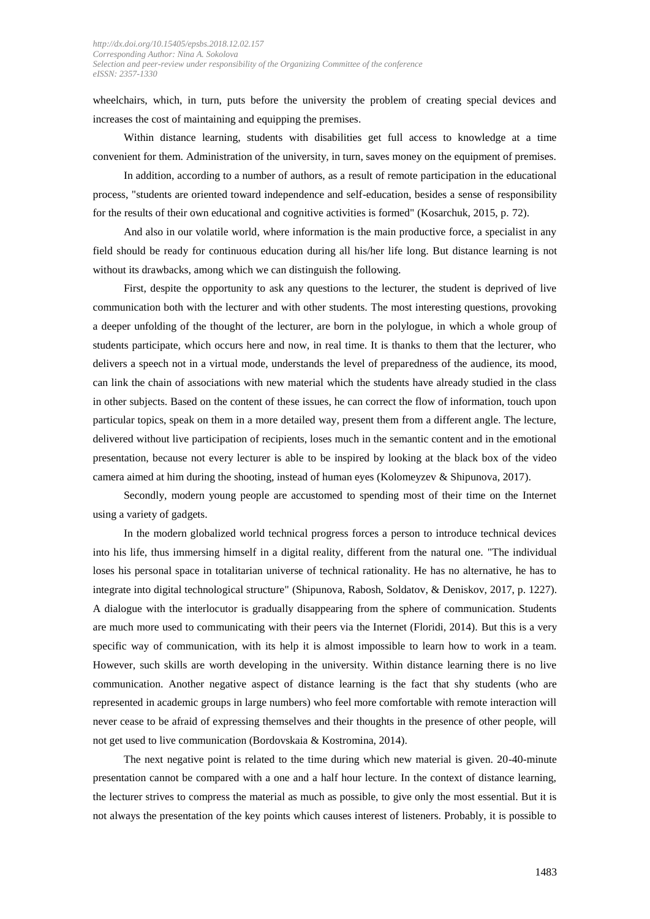wheelchairs, which, in turn, puts before the university the problem of creating special devices and increases the cost of maintaining and equipping the premises.

Within distance learning, students with disabilities get full access to knowledge at a time convenient for them. Administration of the university, in turn, saves money on the equipment of premises.

In addition, according to a number of authors, as a result of remote participation in the educational process, "students are oriented toward independence and self-education, besides a sense of responsibility for the results of their own educational and cognitive activities is formed" (Kosarchuk, 2015, p. 72).

And also in our volatile world, where information is the main productive force, a specialist in any field should be ready for continuous education during all his/her life long. But distance learning is not without its drawbacks, among which we can distinguish the following.

First, despite the opportunity to ask any questions to the lecturer, the student is deprived of live communication both with the lecturer and with other students. The most interesting questions, provoking a deeper unfolding of the thought of the lecturer, are born in the polylogue, in which a whole group of students participate, which occurs here and now, in real time. It is thanks to them that the lecturer, who delivers a speech not in a virtual mode, understands the level of preparedness of the audience, its mood, can link the chain of associations with new material which the students have already studied in the class in other subjects. Based on the content of these issues, he can correct the flow of information, touch upon particular topics, speak on them in a more detailed way, present them from a different angle. The lecture, delivered without live participation of recipients, loses much in the semantic content and in the emotional presentation, because not every lecturer is able to be inspired by looking at the black box of the video camera aimed at him during the shooting, instead of human eyes (Kolomeyzev & Shipunova, 2017).

Secondly, modern young people are accustomed to spending most of their time on the Internet using a variety of gadgets.

In the modern globalized world technical progress forces a person to introduce technical devices into his life, thus immersing himself in a digital reality, different from the natural one. "The individual loses his personal space in totalitarian universe of technical rationality. He has no alternative, he has to integrate into digital technological structure" (Shipunova, Rabosh, Soldatov, & Deniskov, 2017, p. 1227). A dialogue with the interlocutor is gradually disappearing from the sphere of communication. Students are much more used to communicating with their peers via the Internet (Floridi, 2014). But this is a very specific way of communication, with its help it is almost impossible to learn how to work in a team. However, such skills are worth developing in the university. Within distance learning there is no live communication. Another negative aspect of distance learning is the fact that shy students (who are represented in academic groups in large numbers) who feel more comfortable with remote interaction will never cease to be afraid of expressing themselves and their thoughts in the presence of other people, will not get used to live communication (Bordovskaia & Kostromina, 2014).

The next negative point is related to the time during which new material is given. 20-40-minute presentation cannot be compared with a one and a half hour lecture. In the context of distance learning, the lecturer strives to compress the material as much as possible, to give only the most essential. But it is not always the presentation of the key points which causes interest of listeners. Probably, it is possible to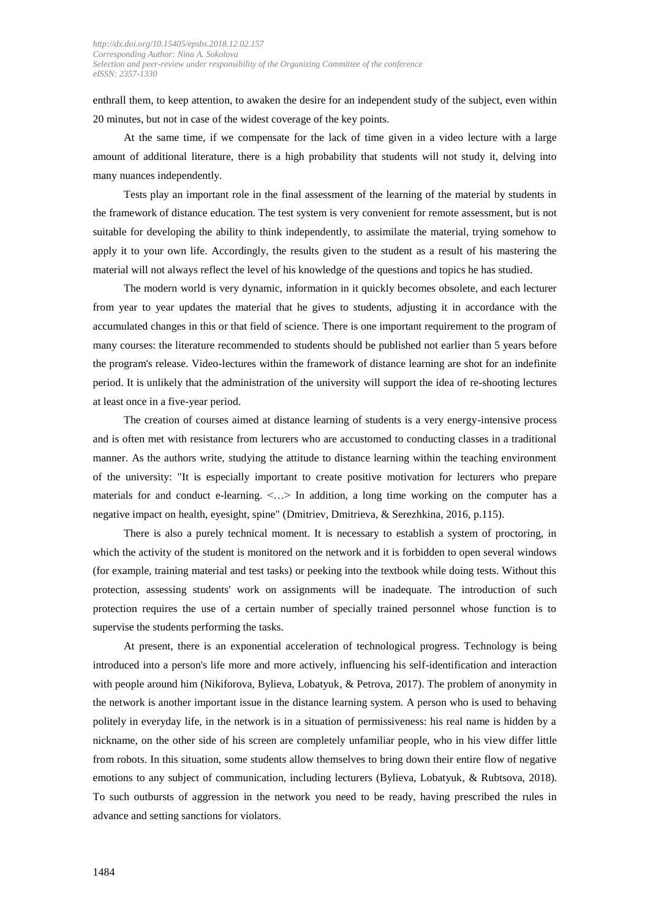enthrall them, to keep attention, to awaken the desire for an independent study of the subject, even within 20 minutes, but not in case of the widest coverage of the key points.

At the same time, if we compensate for the lack of time given in a video lecture with a large amount of additional literature, there is a high probability that students will not study it, delving into many nuances independently.

Tests play an important role in the final assessment of the learning of the material by students in the framework of distance education. The test system is very convenient for remote assessment, but is not suitable for developing the ability to think independently, to assimilate the material, trying somehow to apply it to your own life. Accordingly, the results given to the student as a result of his mastering the material will not always reflect the level of his knowledge of the questions and topics he has studied.

The modern world is very dynamic, information in it quickly becomes obsolete, and each lecturer from year to year updates the material that he gives to students, adjusting it in accordance with the accumulated changes in this or that field of science. There is one important requirement to the program of many courses: the literature recommended to students should be published not earlier than 5 years before the program's release. Video-lectures within the framework of distance learning are shot for an indefinite period. It is unlikely that the administration of the university will support the idea of re-shooting lectures at least once in a five-year period.

The creation of courses aimed at distance learning of students is a very energy-intensive process and is often met with resistance from lecturers who are accustomed to conducting classes in a traditional manner. As the authors write, studying the attitude to distance learning within the teaching environment of the university: "It is especially important to create positive motivation for lecturers who prepare materials for and conduct e-learning.  $\langle \ldots \rangle$  In addition, a long time working on the computer has a negative impact on health, eyesight, spine" (Dmitriev, Dmitrieva, & Serezhkina, 2016, p.115).

There is also a purely technical moment. It is necessary to establish a system of proctoring, in which the activity of the student is monitored on the network and it is forbidden to open several windows (for example, training material and test tasks) or peeking into the textbook while doing tests. Without this protection, assessing students' work on assignments will be inadequate. The introduction of such protection requires the use of a certain number of specially trained personnel whose function is to supervise the students performing the tasks.

At present, there is an exponential acceleration of technological progress. Technology is being introduced into a person's life more and more actively, influencing his self-identification and interaction with people around him (Nikiforova, Bylieva, Lobatyuk, & Petrova, 2017). The problem of anonymity in the network is another important issue in the distance learning system. A person who is used to behaving politely in everyday life, in the network is in a situation of permissiveness: his real name is hidden by a nickname, on the other side of his screen are completely unfamiliar people, who in his view differ little from robots. In this situation, some students allow themselves to bring down their entire flow of negative emotions to any subject of communication, including lecturers (Bylieva, Lobatyuk, & Rubtsova, 2018). To such outbursts of aggression in the network you need to be ready, having prescribed the rules in advance and setting sanctions for violators.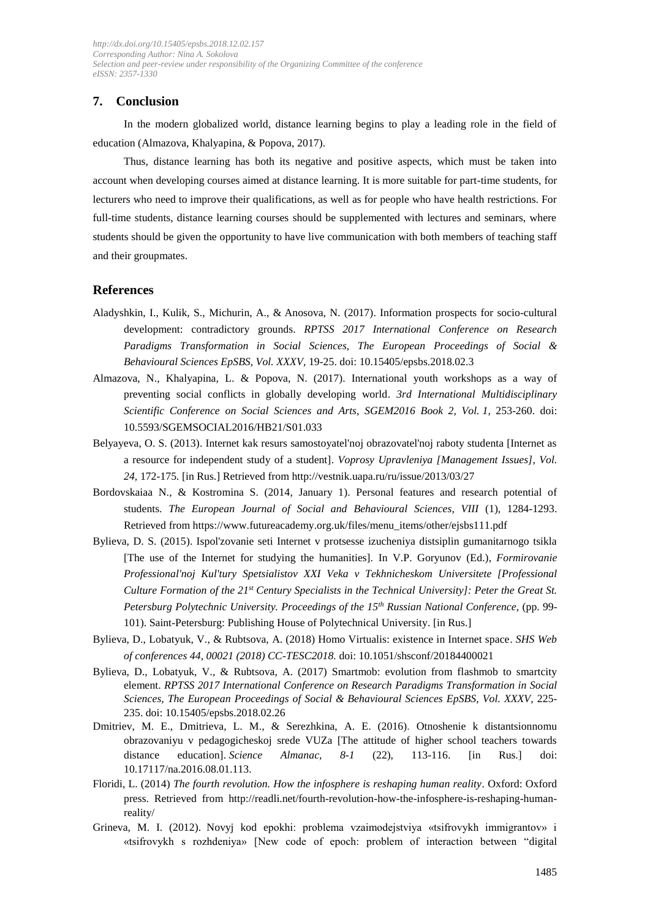# **7. Conclusion**

In the modern globalized world, distance learning begins to play a leading role in the field of education (Almazova, Khalyapina, & Popova, 2017).

Thus, distance learning has both its negative and positive aspects, which must be taken into account when developing courses aimed at distance learning. It is more suitable for part-time students, for lecturers who need to improve their qualifications, as well as for people who have health restrictions. For full-time students, distance learning courses should be supplemented with lectures and seminars, where students should be given the opportunity to have live communication with both members of teaching staff and their groupmates.

#### **References**

- Aladyshkin, I., Kulik, S., Michurin, A., & Anosova, N. (2017). Information prospects for socio-cultural development: contradictory grounds. *RPTSS 2017 International Conference on Research Paradigms Transformation in Social Sciences, The European Proceedings of Social & Behavioural Sciences EpSBS, Vol. XXXV,* 19-25. doi: 10.15405/epsbs.2018.02.3
- Almazova, N., Khalyapina, L. & Popova, N. (2017). International youth workshops as a way of preventing social conflicts in globally developing world. *3rd International Multidisciplinary Scientific Conference on Social Sciences and Arts, SGEM2016 Book 2, Vol. 1,* 253-260. doi: 10.5593/SGEMSOCIAL2016/HB21/S01.033
- Belyayeva, O. S. (2013). Internet kak resurs samostoyatel'noj obrazovatel'noj raboty studenta [Internet as a resource for independent study of a student]. *Voprosy Upravleniya [Management Issues], Vol. 24,* 172-175*.* [in Rus.] Retrieved fro[m http://vestnik.uapa.ru/ru/issue/2013/03/27](http://vestnik.uapa.ru/ru/issue/2013/03/27)
- Bordovskaiaa N., & Kostromina S. (2014, January 1). Personal features and research potential of students. *The European Journal of Social and Behavioural Sciences, VIII* (1), 1284-1293. Retrieved fro[m https://www.futureacademy.org.uk/files/menu\\_items/other/ejsbs111.pdf](https://www.futureacademy.org.uk/files/menu_items/other/ejsbs111.pdf)
- Bylieva, D. S. (2015). Ispol'zovanie seti Internet v protsesse izucheniya distsiplin gumanitarnogo tsikla [The use of the Internet for studying the humanities]. In V.P. Goryunov (Ed.), *Formirovanie Professional'noj Kul'tury Spetsialistov XXI Veka v Tekhnicheskom Universitete [Professional Culture Formation of the 21st Century Specialists in the Technical University]: Peter the Great St. Petersburg Polytechnic University. Proceedings of the 15th Russian National Conference*, (pp. 99- 101). Saint-Petersburg: Publishing House of Polytechnical University. [in Rus.]
- Bylieva, D., Lobatyuk, V., & Rubtsova, A. (2018) Homo Virtualis: existence in Internet space. *SHS Web of conferences 44, 00021 (2018) CC-TESC2018.* doi: 10.1051/shsconf/20184400021
- Bylieva, D., Lobatyuk, V., & Rubtsova, A. (2017) Smartmob: evolution from flashmob to smartcity element. *RPTSS 2017 International Conference on Research Paradigms Transformation in Social Sciences, The European Proceedings of Social & Behavioural Sciences EpSBS*, *Vol. XXXV,* 225- 235. doi: 10.15405/epsbs.2018.02.26
- Dmitriev, M. E., Dmitrieva, L. M., & Serezhkina, A. E. (2016). Otnoshenie k distantsionnomu obrazovaniyu v pedagogicheskoj srede VUZa [The attitude of higher school teachers towards distance education]. *Science Almanac, 8-1* (22), 113-116. [in Rus.] doi: 10.17117/na.2016.08.01.113.
- Floridi, L. (2014) *The fourth revolution. How the infosphere is reshaping human reality*. Oxford: Oxford press. Retrieved from [http://readli.net/fourth-revolution-how-the-infosphere-is-reshaping-human](http://readli.net/fourth-revolution-how-the-infosphere-is-reshaping-human-reality/)[reality/](http://readli.net/fourth-revolution-how-the-infosphere-is-reshaping-human-reality/)
- Grineva, M. I. (2012). Novyj kod epokhi: problema vzaimodejstviya «tsifrovykh immigrantov» i «tsifrovykh s rozhdeniya» [New code of epoch: problem of interaction between "digital